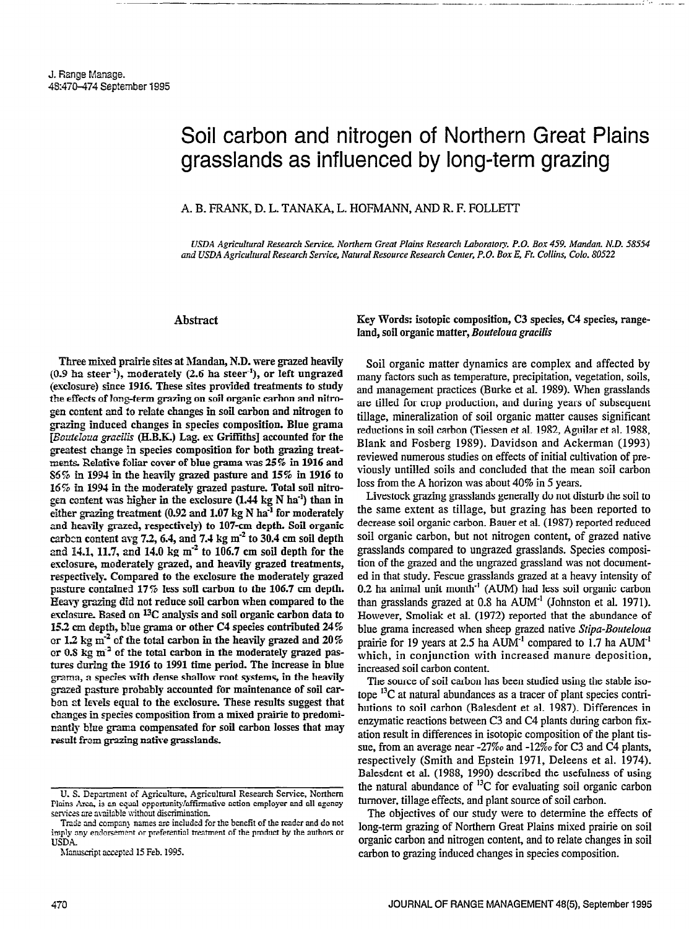# Soil carbon and nitrogen of Northern Great Plains grasslands as influenced by long-term grazing

#### A. B. FRANK, D. L. TANAKA, L. HOFMANN, AND R. F. FOLLETT

USDA Agricultural Research Service, Northern Great Plains Research Laboratory, P.O. Box 459, Mandan, N.D. 58554 and USDA Agricultural Research Service, Natural Resource Research Center, P.O. Box E, Ft. Collins, Colo. 80522

# Abstract

---<del>-----</del> ---<del>------</del>-

Three mixed prairie sites at Mandan, N.D. were grazed heavily  $(0.9$  ha steer<sup>-1</sup>), moderately  $(2.6$  ha steer<sup>-1</sup>), or left ungrazed (exclomre) since 1916. These sites provided treatments to study the effects of long-term grazing on soil organic carbon and nitrogen content and fo relate changes in soil carbon and nitrogen to grazing induced changes in species composition. Blue grama [Bouteloua gracilis (H.B.K.) Lag. ex Griffiths] accounted for the greatest change 'm species composition for both grazing treatments. Relative foliar cover of blue grama was 25% in 1916 and S6% ln 1994 in the heavily grazed pasture and 15% in 1916 to 16% in 1994 in the moderately grazed pasture. Total soil nitrogen content was higher in the exclosure (1.44 kg N ha<sup>-1</sup>) than in either grazing treatment (0.92 and 1.07 kg N ha $^{-1}$  for moderately and heavily grazed, respectively) to 107-cm depth. Soil organic carbon content avg 7.2, 6.4, and 7.4 kg  $m<sup>2</sup>$  to 30.4 cm soil depth and 14.1, 11.7, and 14.0 kg  $m<sup>-2</sup>$  to 106.7 cm soil depth for the erclosure, moderately grazed, and heavily grazed treatments, respectively. Compared to the exclosure the moderately grazed pasture contained 17% less soil carbon to the 106.7 cm depth. Heavy grazing did not reduce soil carbon when compared to the exclosure. Based on  $^{13}$ C analysis and soil organic carbon data to  $15.2$  cm depth, blue grama or other cannot contribute depth  $15.2$  cm species contributed 24%  $\frac{13.2 \text{ cm}}{2}$  care the total carbon in the heavily grazed and  $\frac{24.0}{2}$ or 1.2 kg  $m<sup>-2</sup>$  of the total carbon in the heavily grazed and 20% or 0.8 kg  $m<sup>2</sup>$  of the total carbon in the moderately grazed pastures during the 1916 to 1991 time period. The increase in blue grama, a species with dense shallow root systems, in the heavily grazed pasture probably accounted for maintenance of soil carben at levels equal to the exclosure. These results suggest that changes in species composition from a mixed prairie to predominantly blue grama compensated for soil carbon losses that may result from grazing native grasslands. Key Words: isotopic composition, C3 species, C4 species, rangeland, soil organic matter, Bouteloua gracilis

Soil organic matter dynamics are complex and affected by many factors such as temperature, precipitation, vegetation, soils, and management practices (Burke et al. 1989). When grasslands are tilled for crop production, and during years of subsequent tillage, mineralization of soil organic matter causes significant reductions in soil carbon (Tiessen et al. 1982, Aguilar et al. 1988, Blank and Fosberg 1989). Davidson and Ackerman (1993) reviewed numerous studies on effects of initial cultivation of previously untilled soils and concluded that the mean soil carbon loss from the A horizon was about 40% in 5 years.

Livestock grazing grasslands generally do not disturb the soil to the same extent as tillage, but grazing has been reported to decrease soil organic carbon. Bauer et al. (1987) reported reduced soil organic carbon, but not nitrogen content, of grazed native grasslands compared to ungrazed grasslands. Species composition of the grazed and the ungrazed grassland was not documented in that study. Fescue grasslands grazed at a heavy intensity of  $0.2$  ha animal unit month<sup>-1</sup> (AUM) had less soil organic carbon than grasslands grazed at  $0.8$  ha  $\text{AUM}^{-1}$  (Johnston et al. 1971). However, Smoliak et al. (1972) reported that the abundance of  $\frac{1}{2}$  is gramma increased when sheep grade  $\frac{1}{2}$  is graded native Stipa-Boutelouan sheep  $\frac{1}{2}$ provide graina increased when sheep grazed hanve supu-bourgound prairie for 19 years at 2.5 ha  $AUM<sup>-1</sup>$  compared to 1.7 ha  $AUM<sup>-1</sup>$ which, in conjunction with increased manure deposition, increased soil carbon content. the society of source of source of solid using the stable iso-stable iso-stable iso-stable in stable iso-stable in the stable iso-stable in the stable in the stable iso-stable in the stable in the stable in the stable in t

the source of soil carbon has been studied using the stable iso- $\frac{1}{2}$  carbon carbon (Balesdent et al. 1987). Differences  $\frac{1}{2}$ butions to soil carbon (Balesdent et al. 1987). Differences in enzymatic reactions between C3 and C4 plants during carbon fixation result in differences in isotopic composition of the plant tissue, from an average near  $-27\%$  and  $-12\%$  for C3 and C4 plants, respectively (Smith and Epstein 1971, Deleens et al. 1974). Balesdent et al. (1988, 1990) described the usefulness of using the natural abundance of  ${}^{13}C$  for evaluating soil organic carbon. turnover, tillage effects, and plant source of soil carbon.

The objectives of our study were to determine the effects of long-term grazing of Northern Great Plains mixed prairie on soil organic carbon and nitrogen content, and to relate changes in soil carbon to grazing induced changes in species composition.

U. S. Department of Agriculture, Agricultural Research Service, Northern Plains Area, is an equal opportunity/affu services are available without discrimination.

Trade and company names are included for the benefit of the reader and do not imply any endorsement or preferential treatment of the product by the authors or USDA.

Manuscript accepted 15 Feb. 1995.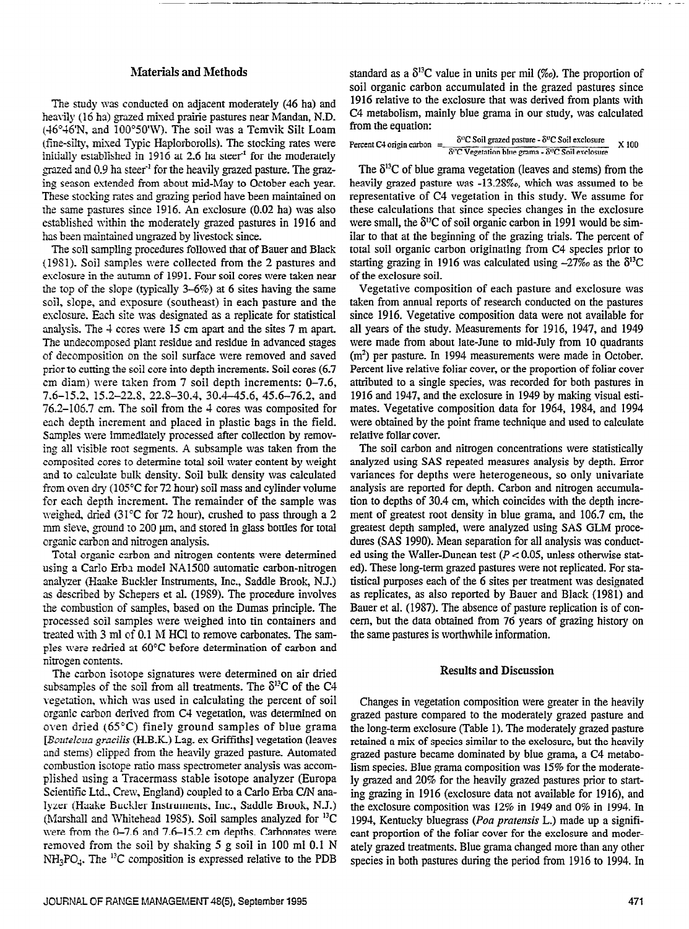# Materials and Methods

The study was conducted on adjacent moderately (46 ha) and heavily (16 ha) grazed mixed prairie pastures near Mandan, N.D.  $(46°46'N,$  and  $100°50'W)$ . The soil was a Temvik Silt Loam (fine-silty, mixed Typic Haplorborolls). The stocking rates were initially established in 1916 at 2.6 ha steer<sup>-1</sup> for the moderately grazed and  $0.9$  ha steer<sup>1</sup> for the heavily grazed pasture. The grazing season extended from about mid-May to October each year-These stocking rates and grazing period have been maintained on the same pastures since 1916. An exclosure (0.02 ha) was also established within the moderately grazed pastures in 1916 and has been maintained ungrazed by livestock since.

The soil sampling procedures followed that of Bauer and Black (19Sl). Soil samples were collected from the 2 pastures and esclosure in the autumn of 1991. Four soil cores were taken near the top of the slope (typically  $3-6\%$ ) at 6 sites having the same soil, slope, and exposure (southeast) in each pasture and the esclosure. Each site was designated as a replicate for statistical analysis. The 4 cores were 15 cm apart and the sites 7 m apart. The undecomposed plant residue and residue in advanced stages of decomposition on the soil surface were removed and saved prior to cutting the soil core into depth increments. Soil cores (6.7) cm diam) were taken from 7 soil depth increments: O-7.6, 7.6-15.2. 15.2-22-S, 22-S-30.4, 30.4-45.6, 45.6-76.2, and 76.2-106.7 cm. The soil from the 4 cores was composited for each depth increment and placed in plastic bags in the field. Samples were immediately processed after collection by removing all visible root segments. A subsample was taken from the composited cores to determine total soil water content by weight and to calculate bulk density. Soil bulk density was calculated from oven dry (105°C for 72 hour) soil mass and cylinder volume for each depth increment. The remainder of the sample was weighed, dried (31°C for 72 hour), crushed to pass through a 2 mm sieve, ground to 200 µm, and stored in glass bottles for total organic carbon and nitrogen analysis.

Total organic carbon and nitrogen contents were determined using a Carlo Erba model NA1500 automatic carbon-nitrogen analyzer (Haake Buckler Instruments, Inc., Saddle Brook, NJ.) as described by Schepers et al. (19S9). The procedure involves me combustion of samples, based on the Dumas principle. The processed soil samples were weighed into tin containers and processed son samples were weighed mid in containers and pleased with 5 hin 01 0.1 M HCl to femove carbonates. The same ples were redried at 60°C before determination of carbon and nitrogen contents. the carbon is on a signature on a signature were determined on a signature on a signature on a signature on a<br>The carbon is determined on a signature of a signature of air dried on a signature of air dried on a signature

substitute of the solution of the soil from all treatments. The call the C4C of the C4C of the C4C of the C4C of the C4C of the C4C of the C4C of the C4C of the C4C of the C4C of the C4C of the C4C of the C4C of the C4C of subsamples of the soil from all treatments. The  $\delta^{13}C$  of the C4 vegetation, which was used in calculating the percent of soil organic carbon derived from C4 vegetation, was determined on oven dried (65 $^{\circ}$ C) finely ground samples of blue grama [Bouteloua gracilis (H.B.K.) Lag. ex Griffiths] vegetation (leaves and stems) clipped from the heavily grazed pasture. Automated combustion isotope ratio mass spectrometer analysis was accomplished using a Tracermass stable isotope analyzer (Europa Scientific Ltd., Crew, England) coupled to a Carlo Erba C/N analyzer (Haake Buckler Instruments, Inc., Saddle Brook, N.J.) (Marshall and Whitehead 1985). Soil samples analyzed for <sup>13</sup>C were from the  $0-7.6$  and  $7.6-15.2$  cm depths. Carbonates were removed from the soil by shaking 5 g soil in 100 ml 0.1 N  $NH_3PO_4$ . The <sup>12</sup>C composition is expressed relative to the PDB

standard as a  $\delta^{13}C$  value in units per mil (%o). The proportion of soil organic carbon accumulated in the grazed pastures since 1916 relative to the exclosure that was derived from plants with C4 metabolism, mainly blue grama in our study, was calculated from the equation:

-- -.:...- \_-

| Percent C4 origin carbon $=$ | $\delta^{0}$ C Soil grazed pasture - $\delta^{0}$ C Soil exclosure                     | X100 |
|------------------------------|----------------------------------------------------------------------------------------|------|
|                              | $\delta$ <sup>o</sup> C Vegetation blue grama - $\delta$ <sup>o</sup> C Soil exclosure |      |

The  $\delta^{13}$ C of blue grama vegetation (leaves and stems) from the heavily grazed pasture was -13.28‰, which was assumed to be representative of C4 vegetation in this study. We assume for these calculations that since species changes in the exclosure were small, the  $\delta^{13}$ C of soil organic carbon in 1991 would be similar to that at the beginning of the grazing trials. The percent of total soil organic carbon originating from C4 species prior to starting grazing in 1916 was calculated using  $-27\%$  as the  $\delta^{13}C$ of the exclosure soil.

Vegetative composition of each pasture and exclosure was taken from annual reports of research conducted on the pastures since 1916. Vegetative composition data were not available for all years of the study. Measurements for 1916, 1947, and 1949 were made from about late-June to mid-July from 10 quadrants (m') per pasture. In 1994 measurements were made in October. Percent live relative foliar cover, or the proportion of foliar cover attributed to a single species, was recorded for both pastures in 1916 and 1947, and the exclosure in 1949 by making visual estimates. Vegetative composition data for 1964, 1984, and 1994 were obtained by the point frame technique and used to calculate relative foliar cover.

The soil carbon and nitrogen concentrations were statistically analyzed using SAS repeated measures analysis by depth. Error variances for depths were heterogeneous, so only univariate analysis are repotted for depth. Carbon and nitrogen accumulation to depths of 30.4 cm, which coincides with the depth increment of greatest root density in blue grama, and 106.7 cm, the greatest depth sampled, were analyzed using SAS GLM procedures (SAS 1990). Mean separation for all analysis was conducted using the Waller-Duncan test ( $P < 0.05$ , unless otherwise stated). These long-term grazed pastures were not replicated. For statistical purposes each of the 6 sites per treatment was designated as replicates, as also reported by Bauer and Black (1981) and Bauer et al. (1987). The absence of pasture replication is of con- $\mu$  and  $\mu$  and  $\mu$  and  $\mu$  and  $\mu$  and  $\mu$  and  $\mu$  and  $\mu$  and  $\mu$  and  $\mu$  and  $\mu$  and  $\mu$  and  $\mu$  and  $\mu$  and  $\mu$  and  $\mu$  and  $\mu$  and  $\mu$  and  $\mu$  and  $\mu$  and  $\mu$  and  $\mu$  and  $\mu$  and  $\mu$  and  $\mu$  term, but the transformation is written in  $\mathcal{L}_{\text{tot}}$ 

## Results and Discussion

Changes in vegetation composition were greater in the heavily Changes in vegetation composition were greater in the neavily grazed pasture compared to the moderately grazed pasture and the long-term exclosure (Table 1). The moderately grazed pasture retained a mix of species similar to the exclosure, but the heavily grazed pasture became dominated by blue grama, a C4 metabolism species. Blue grama composition was 15% for the moderately grazed and 20% for the heavily grazed pastures prior to starting grazing in 1916 (exclosure data not available for 1916), and the exclosure composition was  $12\%$  in 1949 and 0% in 1994. In 1994, Kentucky bluegrass (Poa pratensis L.) made up a significant proportion of the foliar cover for the exclosure and moderately grazed treatments. Blue grama changed more than any other species in both pastures during the period from 1916 to 1994. In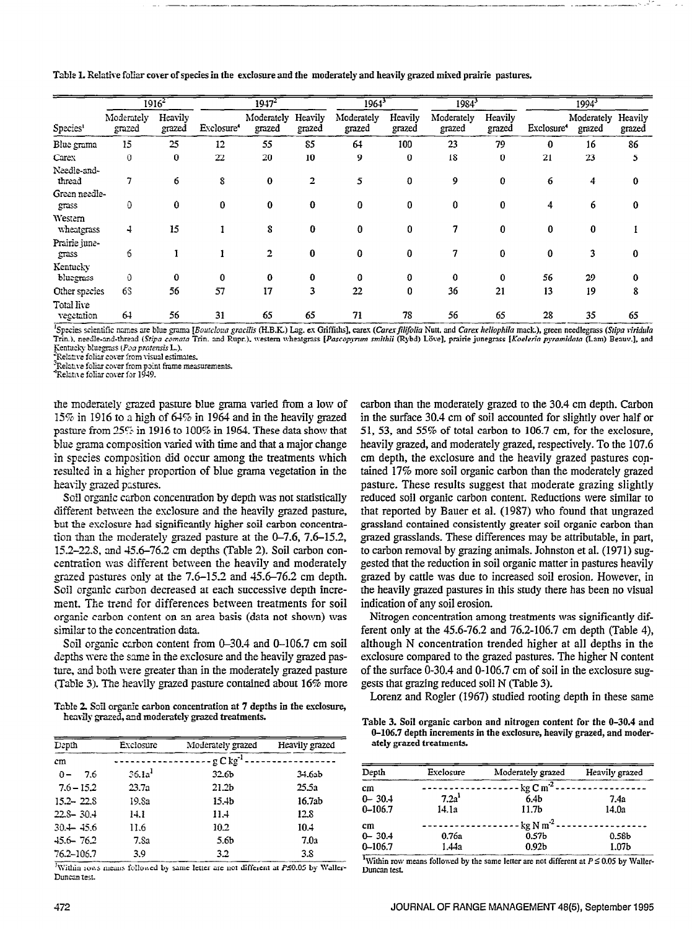Table 1. Relative fofizr cover of species in the esclosure and the moderately and heavily grazed mixed prairie pastures.

|                          |                      | $1916^2$          |                        | $1947^2$             |                   | 1964                 |                   | $1984^3$             |                   |                        | $1994^3$             |                   |
|--------------------------|----------------------|-------------------|------------------------|----------------------|-------------------|----------------------|-------------------|----------------------|-------------------|------------------------|----------------------|-------------------|
| Species <sup>1</sup>     | Moderately<br>grazed | Heavily<br>grazed | Exclosure <sup>4</sup> | Moderately<br>grazed | Heavily<br>grazed | Moderately<br>grazed | Heavily<br>grazed | Moderately<br>grazed | Heavily<br>grazed | Exclosure <sup>4</sup> | Moderately<br>grazed | Heavily<br>grazed |
| Blue grama               | 15                   | 25                | 12                     | 55                   | 85                | 64                   | 100               | 23                   | 79                | 0                      | 16                   | 86                |
| Carex                    | $\Omega$             | 0                 | 22                     | 20                   | 10                | 9                    | 0                 | 18                   | 0                 | 21                     | 23                   | 5                 |
| Needle-and-<br>thread    | 7                    | 6                 | 8                      | $\bf{0}$             | $\overline{2}$    | 5                    | 0                 | 9                    | 0                 | 6                      | 4                    | 0                 |
| Green needle-<br>grass   | 0                    | 0                 | 0                      | 0                    | 0                 | 0                    | 0                 | 0                    | 0                 | 4                      | 6                    | $\bf{0}$          |
| Western<br>wheatgrass    | 4                    | 15                |                        | 8                    | 0                 | 0                    | $\bf{0}$          |                      | 0                 | 0                      | $\bf{0}$             |                   |
| Prairie june-<br>grass   | 6                    |                   |                        | 2                    | $\bf{0}$          | 0                    | 0                 | 7                    | 0                 | 0                      | 3                    | $\bf{0}$          |
| Kentucky<br>bluegrass    | $\theta$             | $\bf{0}$          | 0                      | 0                    | 0                 | 0                    | $\Omega$          | 0                    | 0                 | 56                     | 29                   | 0                 |
| Other species            | 63                   | 56                | 57                     | 17                   | 3                 | 22                   | 0                 | 36                   | 21                | 13                     | 19                   | 8                 |
| Total live<br>vegetation | 64                   | 56                | 31                     | 65                   | 65                | 71                   | 78                | 56                   | 65                | 28                     | 35                   | 65                |

<sup>1</sup>Species scientific names are blue grama [Boutcloua gracilis (H.B.K.) Lag. ex Griffiths], carex (Carex filifolia Nutt. and Carex heliophila mack.), green needlegrass (Stipa viridula Trin.), needle-and-thread (Stipa comata Trin. and Rupr.), western wheatgrass [Pascopyrum smithii (Rybd) Löve], prairie junegrass [Koeleria pyramidata (Lam) Beauv.], and Kentucky bluegrass (Poa pratensis L.).

Relative foliar cover from visual estimates.

Relative foliar cover from point frame measurements.

<sup>4</sup>Relative foliar cover for 1949.

the moderately &aed pasture blue ,-a varied from a low of  $15\%$  in 1916 to a high of 64% in 1964 and in the heavily ,  $\cos A$ 15% in 1916 to a high of 64% in 1964 and in the heavily grazed pasture from  $25\%$  in 1916 to 100% in 1964. These data show that plus the composition varied with time and that a major change. piae graina composition vancu which and did that a major change in species composition did occur among the treatments which resulted in a higher proportion of blue grama vegetation in the heavily grazed pastures.  $\sum_{i=1}^{\infty}$  or  $\sum_{i=1}^{\infty}$  or  $\sum_{i=1}^{\infty}$  or statistically grazed passing  $\sum_{i=1}^{\infty}$  or  $\sum_{i=1}^{\infty}$  or  $\sum_{i=1}^{\infty}$  or  $\sum_{i=1}^{\infty}$  or  $\sum_{i=1}^{\infty}$  or  $\sum_{i=1}^{\infty}$  or  $\sum_{i=1}^{\infty}$  or  $\sum_{i=1}^{\infty$ 

Son organic carbon concentration by depth was not statistically different between the exclosure and the heavily grazed pasture, but the exclosure had significantly higher soil carbon concentration than the moderately grazed pasture at the  $0-7.6$ ,  $7.6-15.2$ , 15.2–22.8, and  $45.6$ –76.2 cm depths (Table 2). Soil carbon concentration was different between the heavily and moderately grazed pastures only at the  $7.6-15.2$  and  $45.6-76.2$  cm depth. Soil organic carbon decreased at each successive depth increment. The trend for differences between treatments for soil organic carbon content on an area basis (data not shown) was similar to the concentration data.

Soil organic carbon content from 0-30.4 and 0-106.7 cm soil depths were the same in the exclosure and the heavily grazed pasture, and both were greater than in the moderately grazed pasture (Table 3). The heavily grazed pasture contained about 16% more

Table 2. Soil organic carbon concentration at 7 depths in the exclosure, heavily grazed, and moderately grazed treatments.

| Depth          | Exclosure          | Moderately grazed | Heavily grazed |
|----------------|--------------------|-------------------|----------------|
| cm             |                    | $g C kg^{-1}$     |                |
| 7.6<br>$0 -$   | 36.1a <sup>1</sup> | 32.6 <sub>b</sub> | 34.6ab         |
| $7.6 - 15.2$   | 23.7a              | 21.2 <sub>b</sub> | 25.5а          |
| $15.2 - 22.8$  | 19.Sa              | 15.4b             | 16.7ab         |
| $22.8 - 30.4$  | 14.1               | 11.4              | 12.8           |
| $30 + 45.6$    | 11.6               | 10.2              | 10.4           |
| $-15.6 - 76.2$ | 7.Sa               | 5.6b              | 7.0a           |
| 76.2-106.7     | 3.9                | 3.2               | 3.8            |

Within rows means followed by same letter are not different at  $P \le 0.05$  by Waller-Duncan test.

carbon than the moderately grazed to the 30.4 cm depth. Carbon carbon man inc moderately grazed to the 50.4 cm depth. Carbon in the surface 30.4 cm of soil accounted for slightly over half or 51, 53, and 55% of total carbon to 106.7 cm, for the exclosure, heavily grazed, and moderately grazed, respectively. To the 107.6  $\mu$  depth, and moderately grazed, respectively. To the  $107.6$ cm depth, the exclosure and the heavily grazed pastures contained 17% more soil organic carbon than the moderately grazed pasture. These results suggest that moderate grazing slightly reduced soil organic carbon content. Reductions were similar to that reported by Bauer et al. (1987) who found that ungrazed grassland contained consistently greater soil organic carbon than grazed grasslands. These differences may be attributable, in part, to carbon removal by grazing animals. Johnston et al. (1971) suggested that the reduction in soil organic matter in pastures heavily grazed by cattle was due to increased soil erosion. However, in the heavily grazed pastures in this study there has been no visual indication of any soil erosion.

Nitrogen concentration among treatments was significantly different only at the  $45.6$ -76.2 and 76.2-106.7 cm depth (Table 4), although N concentration trended higher at all depths in the exclosure compared to the grazed pastures. The higher N content of the surface 0-30.4 and 0-106.7 cm of soil in the exclosure suggests that grazing reduced soil N (Table 3).

Lorenz and Rogler (1967) studied rooting depth in these same

Table 3. Soil organic carbon and nitrogen content for the 0-30.4 and 0-106.7 depth increments in the exclosure, heavily grazed, and moderately grazed treatments.

| Depth       | Exclosure         | Moderately grazed        | Heavily grazed    |
|-------------|-------------------|--------------------------|-------------------|
| cm          |                   | $-$ kg C m <sup>-2</sup> |                   |
| $0 - 30.4$  | 7.2a <sup>1</sup> | 6.4 <sub>b</sub>         | 7.4a              |
| $0 - 106.7$ | 14.1a             | 11.7 <sub>b</sub>        | 14.0a             |
| cm          |                   | $-$ kg N m <sup>-2</sup> |                   |
| $0 - 30.4$  | 0.76a             | 0.57 <sub>b</sub>        | 0.58b             |
| $0 - 106.7$ | 1.44a             | 0.92 <sub>b</sub>        | 1.07 <sub>b</sub> |

<sup>1</sup>Within row means followed by the same letter are not different at  $P \le 0.05$  by Waller-Duncan test.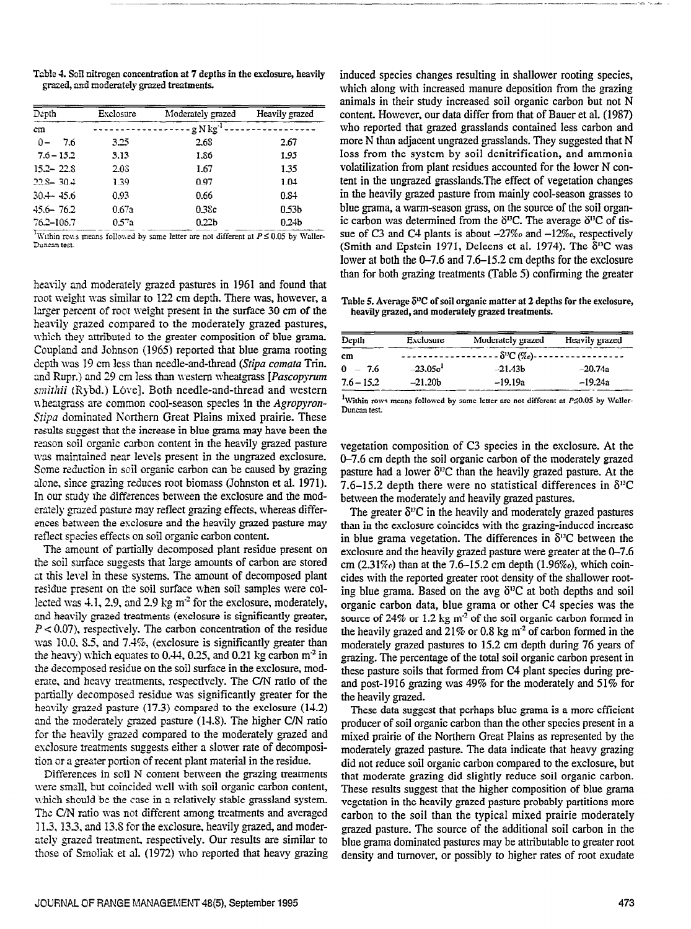Table 4. Sail nitrogen concentration at 7 depths in the exclosure, heavily grazed, and moderately grazed treatments.

| Depth         | Exclosure | Moderately grazed      | Heavily grazed    |
|---------------|-----------|------------------------|-------------------|
| cm            |           | - g N kg <sup>-1</sup> |                   |
| $0 -$<br>7.6  | 3.25      | 2.68                   | 2.67              |
| $7.6 - 15.2$  | 3.13      | 1.86                   | 1.95              |
| $15.2 - 22.8$ | 2.08      | 1.67                   | 1.35              |
| $22.8 - 30.4$ | 1.39      | 0.97                   | 1.04              |
| $30 + 45.6$   | 0.93      | 0.66                   | 0.84              |
| $45.6 - 76.2$ | 0.67a     | 0.38c                  | 0.53b             |
| 76.2-106.7    | 0.57a     | 0.22 <sub>b</sub>      | 0.24 <sub>b</sub> |

<sup>h</sup>Within rows means followed by same letter are not different at  $P \le 0.05$  by Waller-Duncan test.

heavily and moderately grazed pastures in 1961 and found that root weight was similar to 122 cm depth. There was, however, a larger percent of root weight present in the surface 30 cm of the heavily grazed compared to the moderately grazed pastures, which they attributed to the greater composition of blue grama. Coupland and Johnson (1965) reported that blue grama rooting depth was 19 cm less than needle-and-thread (Stipa comata Trin. and Rupr.) and 29 cm less than western wheatgrass [*Pascopyrum* smithii (Rybd.) Lôve]. Both needle-and-thread and western wheatgrass are common cool-season species in the Agropyron-Stipa dominated Northern Great Plains mixed prairie. These results suggest that the increase in blue grama may have been the reason soil organic carbon content in the heavily grazed pasture was maintained near levels present in the ungrazed exclosure. Some reduction in soil organic carbon can be caused by grazing alone, since grazing reduces root biomass (Johnston et al. 1971). In our study the differences between the exclosure and the moderately grazed pasture may reflect grazing effects, whereas differences between the exclosure and the heavily grazed pasture may reflect species effects on soil organic carbon content.

The amount of partially decomposed plant residue present on the soil surface suggests that large amounts of carbon are stored at this level in these systems. The amount of decomposed plant residue present on the soil surface when soil samples were collected was  $4.1$ , 2.9, and 2.9 kg m<sup>-2</sup> for the exclosure, moderately, and heavily grazed treatments (exclosure is significantly greater, end neavily graced treatments (exclosure is significantly greater,  $1 \times 0.07$ , respectively. The calcon concentration of an iestate was 10.0, 8.5, and 7.4%, (exclosure is significantly greater than the heavy) which equates to 0.44, 0.25, and 0.21 kg carbon  $m<sup>2</sup>$  in the decomposed residue on the soil surface in the exclosure, moderate, and heavy treatments, respectively. The C/N ratio of the partially decomposed residue was significantly greater for the heavily grazed pasture  $(17.3)$  compared to the exclosure  $(14.2)$ . and the moderately grazed pasture  $(14.8)$ . The higher C/N ratio for the heavily grazed compared to the moderately grazed and exclosure treatments suggests either a slower rate of decomposition or a greater portion of recent plant material in the residue.

Differences in soil N content between the grazing treatments were small, but coincided well with soil organic carbon content, which should be the case in a relatively stable grassland system. The C/N ratio was not different among treatments and averaged 11.3, 13.3, and 13.8 for the exclosure, heavily grazed, and moderately grazed treatment, respectively. Our results are similar to those of Smoliak et al. (1972) who reported that heavy grazing induced species changes resulting in shallower rooting species, which along with increased manure deposition from the grazing animals in their study increased soil organic carbon but not N content. However, our data differ from that of Bauer et al. (1987) who reported that grazed grasslands contained less carbon and more N than adjacent ungrazed grasslands. They suggested that N loss from the system by soil denitrification, and ammonia volatilization from plant residues accounted for the lower N content in the ungrazed grasslands.The effect of vegetation changes in the heavily grazed pasture from mainly cool-season grasses to blue grama, a warm-season grass, on the source of the soil oganic carbon was determined from the  $\delta^{13}C$ . The average  $\delta^{13}C$  of tissue of C3 and C4 plants is about  $-27\%$  and  $-12\%$ , respectively (Smith and Epstein 1971, Deleens et al. 1974). The  $\delta^{13}C$  was lower at both the O-7.6 and 7.6-15.2 cm depths for the exclosure than for both grazing treatments (Table 5) confirming the greater

Table 5. Average  $\delta^{\mu}C$  of soil organic matter at 2 depths for the exclosure, heavily grazed, and moderately grazed treatments.

| Depth        | Exclosure  | Moderately grazed | Heavily grazed                                                          |  |
|--------------|------------|-------------------|-------------------------------------------------------------------------|--|
| cm           |            |                   | $-$ - $\delta$ <sup>12</sup> C (%o) - - - - - - - - - - - - - - - - - - |  |
| $0 - 7.6$    | $-23.05c1$ | $-21.43b$         | $-20.74a$                                                               |  |
| $7.6 - 15.2$ | $-21.20b$  | -19.19a           | $-19.24a$                                                               |  |

<sup>1</sup>Within rows means followed by same letter are not different at  $P \le 0.05$  by Waller-Duncan test.

vegetation composition of C3 species in the exclosure. At the O-7.6 cm depth the soil organic carbon of the moderately grazed pasture had a lower  $\delta^{13}$ C than the heavily grazed pasture. At the 7.6–15.2 depth there were no statistical differences in  $\delta^{13}$ C between the moderately and heavily grazed pastures.

The greater  $\delta^{12}$ C in the heavily and moderately grazed pastures than in the exclosure coincides with the grazing-induced increase in blue grama vegetation. The differences in  $\delta^{13}C$  between the exclosure and the heavily grazed pasture were greater at the O-7.6 concrete that the neutrity graded plant of red greater at the  $\sigma$ -7.6-<br>cm  $(2.31\%)$ , than at the 7.6-15.2 cm depth (1.96%), which coincides with the reported greater root density of the shallower rootcides with the reported greater root density of the shallower root-<br>ing blue grama. Based on the avg  $\delta^{13}C$  at both depths and soil organic carbon data, blue grama or other C4 species was the  $\frac{1}{2}$  organic carbon data, blue graina or other  $C_T$  species was the solution formation of the solution formation  $C_T$ source or  $24\%$  or  $1.2$  kg m or the son organic carbon formed in the heavily grazed and 21% or 0.8 kg  $m<sup>2</sup>$  of carbon formed in the moderately grazed pastures to 15.2 cm depth during 76 years of grazing. The percentage of the total soil organic carbon present in these pasture soils that formed from C4 plant species during preand post-1916 grazing was  $49\%$  for the moderately and  $51\%$  for the heavily grazed.  $T_{\text{max}}$  suggest that perhaps below  $\frac{1}{2}$  more efficient  $\frac{1}{2}$  more efficient  $\frac{1}{2}$  more efficient  $\frac{1}{2}$  more efficient  $\frac{1}{2}$  more efficient  $\frac{1}{2}$  more effect of  $\frac{1}{2}$  more effect of  $\frac{1}{2}$ 

produce that suggest that perhaps blue graina is a more efficient producer of soil organic carbon than the other species present in a mixed prairie of the Northern Great Plains as represented by the moderately grazed pasture. The data indicate that heavy grazing did not reduce soil organic carbon compared to the exclosure, but that moderate grazing did slightly reduce soil organic carbon. These results suggest that the higher composition of blue grama vegetation in the heavily grazed pasture probably partitions more carbon to the soil than the typical mixed prairie moderately grazed pasture. The source of the additional soil carbon in the blue grama dominated pastures may be attributable to greater root density and turnover, or possibly to higher rates of root exudate